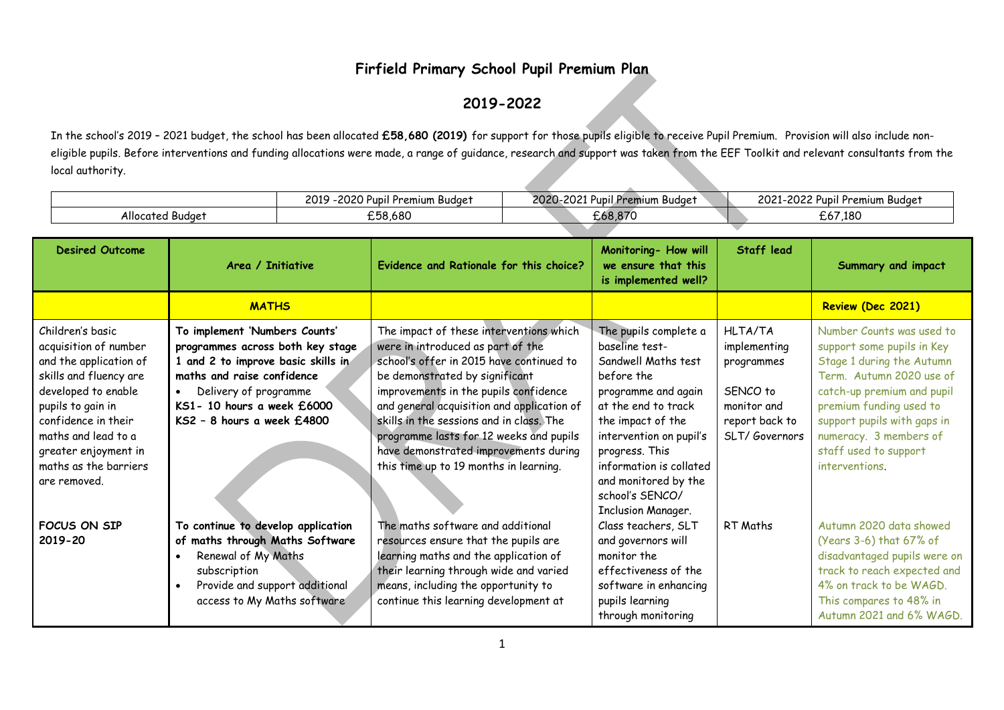## **Firfield Primary School Pupil Premium Plan**

## **2019-2022**

In the school's 2019 – 2021 budget, the school has been allocated **£58,680 (2019)** for support for those pupils eligible to receive Pupil Premium. Provision will also include noneligible pupils. Before interventions and funding allocations were made, a range of guidance, research and support was taken from the EEF Toolkit and relevant consultants from the local authority.

|                  | <u>__</u>                 | 2021      | $\sim$               |
|------------------|---------------------------|-----------|----------------------|
|                  | 201C                      | 2020      | 20225                |
|                  | Rudae.                    | Dnor      | . Premium            |
|                  | ubil'                     | m Budaet, | -Rudae:              |
|                  | Premium                   | ubil'     | Pubil i              |
|                  | - U ⊥.                    | unium.    | w                    |
|                  | – <u>v</u>                | $\sim$    | 2 U Z                |
| Allocated Budge1 | $\sim$ $ \sim$<br>.ാ8.680 |           | .180<br><u>، ں ر</u> |

| <b>Desired Outcome</b>                                                                                                                                                                                                                                   | Area / Initiative                                                                                                                                                                                                                       | Evidence and Rationale for this choice?                                                                                                                                                                                                                                                                                                                                                                                     | Monitoring- How will<br>we ensure that this<br>is implemented well?                                                                                                                                                                                                                      | <b>Staff lead</b>                                                                                          | Summary and impact                                                                                                                                                                                                                                                            |
|----------------------------------------------------------------------------------------------------------------------------------------------------------------------------------------------------------------------------------------------------------|-----------------------------------------------------------------------------------------------------------------------------------------------------------------------------------------------------------------------------------------|-----------------------------------------------------------------------------------------------------------------------------------------------------------------------------------------------------------------------------------------------------------------------------------------------------------------------------------------------------------------------------------------------------------------------------|------------------------------------------------------------------------------------------------------------------------------------------------------------------------------------------------------------------------------------------------------------------------------------------|------------------------------------------------------------------------------------------------------------|-------------------------------------------------------------------------------------------------------------------------------------------------------------------------------------------------------------------------------------------------------------------------------|
|                                                                                                                                                                                                                                                          | <b>MATHS</b>                                                                                                                                                                                                                            |                                                                                                                                                                                                                                                                                                                                                                                                                             |                                                                                                                                                                                                                                                                                          |                                                                                                            | Review (Dec 2021)                                                                                                                                                                                                                                                             |
| Children's basic<br>acquisition of number<br>and the application of<br>skills and fluency are<br>developed to enable<br>pupils to gain in<br>confidence in their<br>maths and lead to a<br>greater enjoyment in<br>maths as the barriers<br>are removed. | To implement 'Numbers Counts'<br>programmes across both key stage<br>1 and 2 to improve basic skills in<br>maths and raise confidence<br>Delivery of programme<br>$\bullet$<br>KS1- 10 hours a week £6000<br>KS2 - 8 hours a week £4800 | The impact of these interventions which<br>were in introduced as part of the<br>school's offer in 2015 have continued to<br>be demonstrated by significant<br>improvements in the pupils confidence<br>and general acquisition and application of<br>skills in the sessions and in class. The<br>programme lasts for 12 weeks and pupils<br>have demonstrated improvements during<br>this time up to 19 months in learning. | The pupils complete a<br>baseline test-<br>Sandwell Maths test<br>before the<br>programme and again<br>at the end to track<br>the impact of the<br>intervention on pupil's<br>progress. This<br>information is collated<br>and monitored by the<br>school's SENCO/<br>Inclusion Manager. | <b>HLTA/TA</b><br>implementing<br>programmes<br>SENCO to<br>monitor and<br>report back to<br>SLT/Governors | Number Counts was used to<br>support some pupils in Key<br>Stage 1 during the Autumn<br>Term. Autumn 2020 use of<br>catch-up premium and pupil<br>premium funding used to<br>support pupils with gaps in<br>numeracy. 3 members of<br>staff used to support<br>interventions. |
| FOCUS ON SIP<br>2019-20                                                                                                                                                                                                                                  | To continue to develop application<br>of maths through Maths Software<br>Renewal of My Maths<br>$\bullet$<br>subscription<br>Provide and support additional<br>$\bullet$<br>access to My Maths software                                 | The maths software and additional<br>resources ensure that the pupils are<br>learning maths and the application of<br>their learning through wide and varied<br>means, including the opportunity to<br>continue this learning development at                                                                                                                                                                                | Class teachers, SLT<br>and governors will<br>monitor the<br>effectiveness of the<br>software in enhancing<br>pupils learning<br>through monitoring                                                                                                                                       | RT Maths                                                                                                   | Autumn 2020 data showed<br>(Years 3-6) that 67% of<br>disadvantaged pupils were on<br>track to reach expected and<br>4% on track to be WAGD.<br>This compares to 48% in<br>Autumn 2021 and 6% WAGD.                                                                           |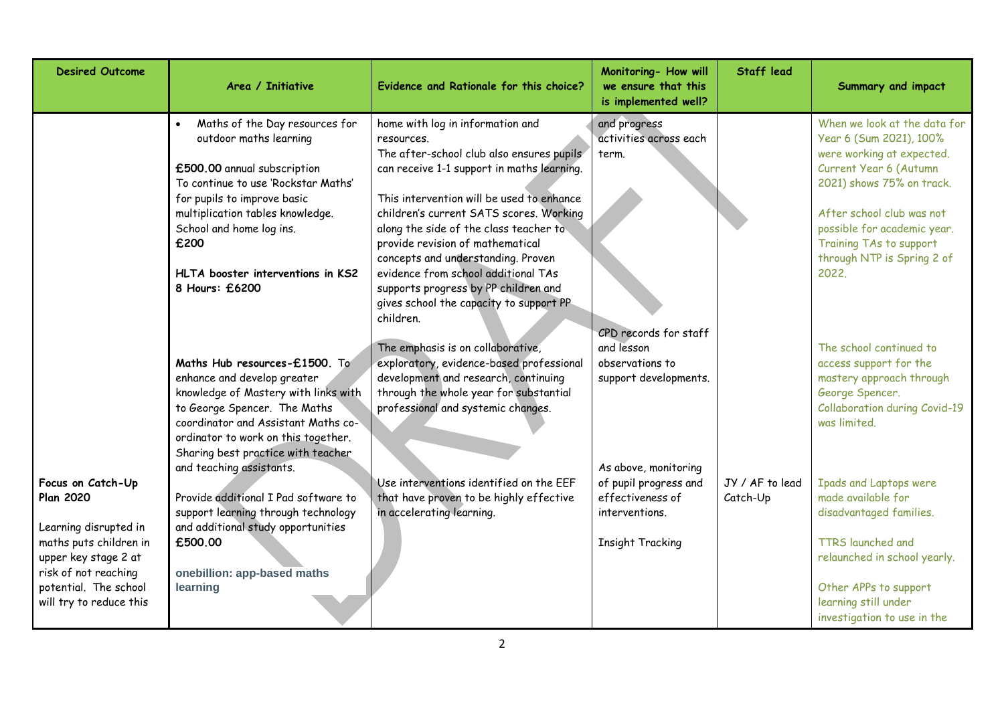| <b>Desired Outcome</b>                                                                                                                                                                       | Area / Initiative                                                                                                                                                                                                                                                                            | Evidence and Rationale for this choice?                                                                                                                                                                                                                                                                                                                                                                                                                                         | Monitoring- How will<br>we ensure that this<br>is implemented well?                                            | <b>Staff lead</b>           | Summary and impact                                                                                                                                                                                                                                                        |
|----------------------------------------------------------------------------------------------------------------------------------------------------------------------------------------------|----------------------------------------------------------------------------------------------------------------------------------------------------------------------------------------------------------------------------------------------------------------------------------------------|---------------------------------------------------------------------------------------------------------------------------------------------------------------------------------------------------------------------------------------------------------------------------------------------------------------------------------------------------------------------------------------------------------------------------------------------------------------------------------|----------------------------------------------------------------------------------------------------------------|-----------------------------|---------------------------------------------------------------------------------------------------------------------------------------------------------------------------------------------------------------------------------------------------------------------------|
|                                                                                                                                                                                              | Maths of the Day resources for<br>outdoor maths learning<br>£500.00 annual subscription<br>To continue to use 'Rockstar Maths'<br>for pupils to improve basic<br>multiplication tables knowledge.<br>School and home log ins.<br>£200<br>HLTA booster interventions in KS2<br>8 Hours: £6200 | home with log in information and<br>resources.<br>The after-school club also ensures pupils<br>can receive 1-1 support in maths learning.<br>This intervention will be used to enhance<br>children's current SATS scores. Working<br>along the side of the class teacher to<br>provide revision of mathematical<br>concepts and understanding. Proven<br>evidence from school additional TAs<br>supports progress by PP children and<br>gives school the capacity to support PP | and progress<br>activities across each<br>term.                                                                |                             | When we look at the data for<br>Year 6 (Sum 2021), 100%<br>were working at expected.<br>Current Year 6 (Autumn<br>2021) shows 75% on track.<br>After school club was not<br>possible for academic year.<br>Training TAs to support<br>through NTP is Spring 2 of<br>2022. |
|                                                                                                                                                                                              | Maths Hub resources-£1500. To<br>enhance and develop greater<br>knowledge of Mastery with links with<br>to George Spencer. The Maths<br>coordinator and Assistant Maths co-<br>ordinator to work on this together.<br>Sharing best practice with teacher                                     | children.<br>The emphasis is on collaborative,<br>exploratory, evidence-based professional<br>development and research, continuing<br>through the whole year for substantial<br>professional and systemic changes.                                                                                                                                                                                                                                                              | CPD records for staff<br>and lesson<br>observations to<br>support developments.                                |                             | The school continued to<br>access support for the<br>mastery approach through<br>George Spencer.<br>Collaboration during Covid-19<br>was limited.                                                                                                                         |
| Focus on Catch-Up<br><b>Plan 2020</b><br>Learning disrupted in<br>maths puts children in<br>upper key stage 2 at<br>risk of not reaching<br>potential. The school<br>will try to reduce this | and teaching assistants.<br>Provide additional I Pad software to<br>support learning through technology<br>and additional study opportunities<br>£500.00<br>onebillion: app-based maths<br>learning                                                                                          | Use interventions identified on the EEF<br>that have proven to be highly effective<br>in accelerating learning.                                                                                                                                                                                                                                                                                                                                                                 | As above, monitoring<br>of pupil progress and<br>effectiveness of<br>interventions.<br><b>Insight Tracking</b> | JY / AF to lead<br>Catch-Up | <b>Ipads and Laptops were</b><br>made available for<br>disadvantaged families.<br><b>TTRS</b> launched and<br>relaunched in school yearly.<br>Other APPs to support<br>learning still under<br>investigation to use in the                                                |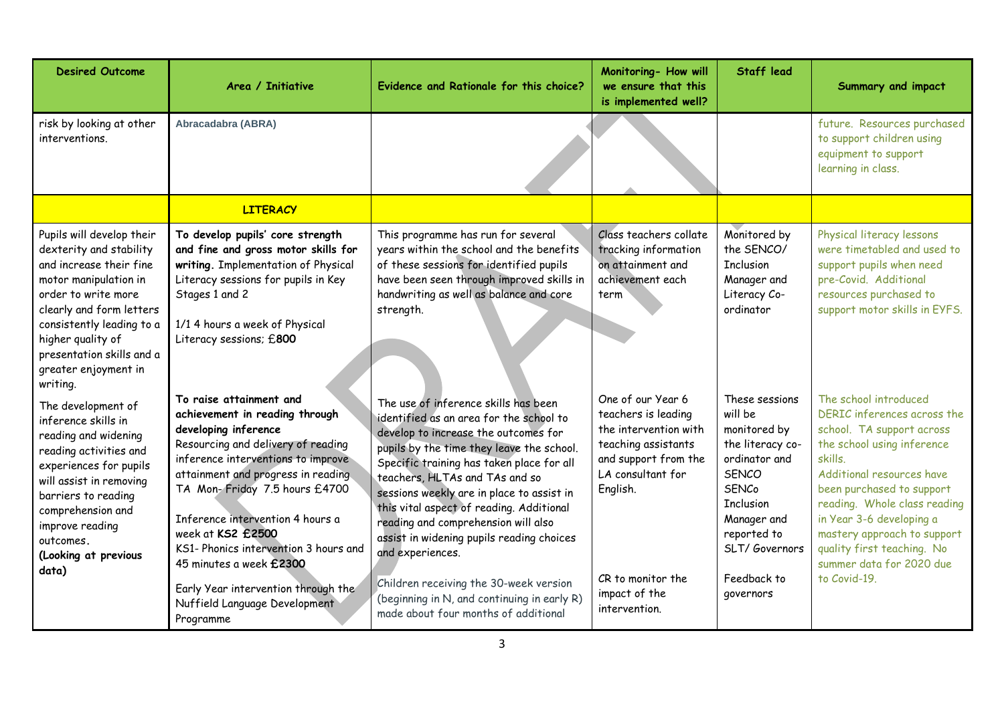| <b>Desired Outcome</b>                                                                                                                                                                                                                                                         | Area / Initiative                                                                                                                                                                                                                                                                                                                                                                                                                                      | Evidence and Rationale for this choice?                                                                                                                                                                                                                                                                                                                                                                                                                                                                                                                                               | Monitoring- How will<br>we ensure that this<br>is implemented well?                                                                                                                                      | <b>Staff lead</b>                                                                                                                                                                                             | <b>Summary and impact</b>                                                                                                                                                                                                                                                                                                                                 |
|--------------------------------------------------------------------------------------------------------------------------------------------------------------------------------------------------------------------------------------------------------------------------------|--------------------------------------------------------------------------------------------------------------------------------------------------------------------------------------------------------------------------------------------------------------------------------------------------------------------------------------------------------------------------------------------------------------------------------------------------------|---------------------------------------------------------------------------------------------------------------------------------------------------------------------------------------------------------------------------------------------------------------------------------------------------------------------------------------------------------------------------------------------------------------------------------------------------------------------------------------------------------------------------------------------------------------------------------------|----------------------------------------------------------------------------------------------------------------------------------------------------------------------------------------------------------|---------------------------------------------------------------------------------------------------------------------------------------------------------------------------------------------------------------|-----------------------------------------------------------------------------------------------------------------------------------------------------------------------------------------------------------------------------------------------------------------------------------------------------------------------------------------------------------|
| risk by looking at other<br>interventions.                                                                                                                                                                                                                                     | Abracadabra (ABRA)                                                                                                                                                                                                                                                                                                                                                                                                                                     |                                                                                                                                                                                                                                                                                                                                                                                                                                                                                                                                                                                       |                                                                                                                                                                                                          |                                                                                                                                                                                                               | future. Resources purchased<br>to support children using<br>equipment to support<br>learning in class.                                                                                                                                                                                                                                                    |
|                                                                                                                                                                                                                                                                                | <b>LITERACY</b>                                                                                                                                                                                                                                                                                                                                                                                                                                        |                                                                                                                                                                                                                                                                                                                                                                                                                                                                                                                                                                                       |                                                                                                                                                                                                          |                                                                                                                                                                                                               |                                                                                                                                                                                                                                                                                                                                                           |
| Pupils will develop their<br>dexterity and stability<br>and increase their fine<br>motor manipulation in<br>order to write more<br>clearly and form letters<br>consistently leading to a<br>higher quality of<br>presentation skills and a<br>greater enjoyment in<br>writing. | To develop pupils' core strength<br>and fine and gross motor skills for<br>writing. Implementation of Physical<br>Literacy sessions for pupils in Key<br>Stages 1 and 2<br>1/1 4 hours a week of Physical<br>Literacy sessions; £800                                                                                                                                                                                                                   | This programme has run for several<br>years within the school and the benefits<br>of these sessions for identified pupils<br>have been seen through improved skills in<br>handwriting as well as balance and core<br>strength.                                                                                                                                                                                                                                                                                                                                                        | Class teachers collate<br>tracking information<br>on attainment and<br>achievement each<br>term                                                                                                          | Monitored by<br>the SENCO/<br><b>Inclusion</b><br>Manager and<br>Literacy Co-<br>ordinator                                                                                                                    | Physical literacy lessons<br>were timetabled and used to<br>support pupils when need<br>pre-Covid. Additional<br>resources purchased to<br>support motor skills in EYFS.                                                                                                                                                                                  |
| The development of<br>inference skills in<br>reading and widening<br>reading activities and<br>experiences for pupils<br>will assist in removing<br>barriers to reading<br>comprehension and<br>improve reading<br>outcomes.<br>(Looking at previous<br>data)                  | To raise attainment and<br>achievement in reading through<br>developing inference<br>Resourcing and delivery of reading<br>inference interventions to improve<br>attainment and progress in reading<br>TA Mon-Friday 7.5 hours £4700<br>Inference intervention 4 hours a<br>week at KS2 £2500<br>KS1- Phonics intervention 3 hours and<br>45 minutes a week £2300<br>Early Year intervention through the<br>Nuffield Language Development<br>Programme | The use of inference skills has been<br>identified as an area for the school to<br>develop to increase the outcomes for<br>pupils by the time they leave the school.<br>Specific training has taken place for all<br>teachers, HLTAs and TAs and so<br>sessions weekly are in place to assist in<br>this vital aspect of reading. Additional<br>reading and comprehension will also<br>assist in widening pupils reading choices<br>and experiences.<br>Children receiving the 30-week version<br>(beginning in N, and continuing in early R)<br>made about four months of additional | One of our Year 6<br>teachers is leading<br>the intervention with<br>teaching assistants<br>and support from the<br>LA consultant for<br>English.<br>CR to monitor the<br>impact of the<br>intervention. | These sessions<br>will be<br>monitored by<br>the literacy co-<br>ordinator and<br><b>SENCO</b><br><b>SENCo</b><br><b>Inclusion</b><br>Manager and<br>reported to<br>SLT/Governors<br>Feedback to<br>governors | The school introduced<br>DERIC inferences across the<br>school. TA support across<br>the school using inference<br>skills.<br>Additional resources have<br>been purchased to support<br>reading. Whole class reading<br>in Year 3-6 developing a<br>mastery approach to support<br>quality first teaching. No<br>summer data for 2020 due<br>to Covid-19. |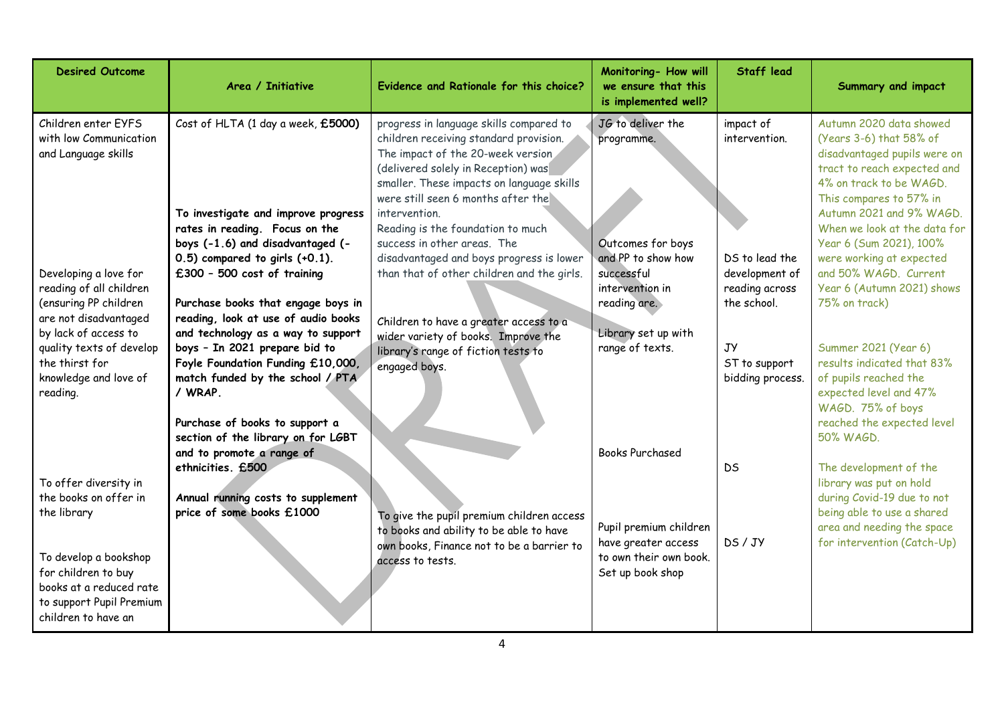| <b>Desired Outcome</b>                                                                                  | Area / Initiative                                                                                                                                                                                                               | Evidence and Rationale for this choice?                                                                                                                                                                                                                                                                | Monitoring- How will<br>we ensure that this<br>is implemented well?                               | <b>Staff lead</b>                                                 | Summary and impact                                                                                                                                                                                                                  |
|---------------------------------------------------------------------------------------------------------|---------------------------------------------------------------------------------------------------------------------------------------------------------------------------------------------------------------------------------|--------------------------------------------------------------------------------------------------------------------------------------------------------------------------------------------------------------------------------------------------------------------------------------------------------|---------------------------------------------------------------------------------------------------|-------------------------------------------------------------------|-------------------------------------------------------------------------------------------------------------------------------------------------------------------------------------------------------------------------------------|
| Children enter EYFS<br>with low Communication<br>and Language skills                                    | Cost of HLTA (1 day a week, £5000)<br>To investigate and improve progress<br>rates in reading. Focus on the                                                                                                                     | progress in language skills compared to<br>children receiving standard provision.<br>The impact of the 20-week version<br>(delivered solely in Reception) was<br>smaller. These impacts on language skills<br>were still seen 6 months after the<br>intervention.<br>Reading is the foundation to much | JG to deliver the<br>programme.                                                                   | impact of<br>intervention.                                        | Autumn 2020 data showed<br>(Years 3-6) that 58% of<br>disadvantaged pupils were on<br>tract to reach expected and<br>4% on track to be WAGD.<br>This compares to 57% in<br>Autumn 2021 and 9% WAGD.<br>When we look at the data for |
| Developing a love for<br>reading of all children<br>(ensuring PP children<br>are not disadvantaged      | boys (-1.6) and disadvantaged (-<br>$0.5$ ) compared to girls $(+0.1)$ .<br>£300 - 500 cost of training<br>Purchase books that engage boys in<br>reading, look at use of audio books                                            | success in other areas. The<br>disadvantaged and boys progress is lower<br>than that of other children and the girls.                                                                                                                                                                                  | Outcomes for boys<br>and PP to show how<br>successful<br>intervention in<br>reading are.          | DS to lead the<br>development of<br>reading across<br>the school. | Year 6 (Sum 2021), 100%<br>were working at expected<br>and 50% WAGD. Current<br>Year 6 (Autumn 2021) shows<br>75% on track)                                                                                                         |
| by lack of access to<br>quality texts of develop<br>the thirst for<br>knowledge and love of<br>reading. | and technology as a way to support<br>boys - In 2021 prepare bid to<br>Foyle Foundation Funding £10,000,<br>match funded by the school / PTA<br>/ WRAP.<br>Purchase of books to support a<br>section of the library on for LGBT | Children to have a greater access to a<br>wider variety of books. Improve the<br>library's range of fiction tests to<br>engaged boys.                                                                                                                                                                  | Library set up with<br>range of texts.                                                            | JУ<br>ST to support<br>bidding process.                           | Summer 2021 (Year 6)<br>results indicated that 83%<br>of pupils reached the<br>expected level and 47%<br>WAGD. 75% of boys<br>reached the expected level<br>50% WAGD.                                                               |
| To offer diversity in<br>the books on offer in<br>the library<br>To develop a bookshop                  | and to promote a range of<br>ethnicities. £500<br>Annual running costs to supplement<br>price of some books £1000                                                                                                               | To give the pupil premium children access<br>to books and ability to be able to have<br>own books, Finance not to be a barrier to<br>access to tests.                                                                                                                                                  | <b>Books Purchased</b><br>Pupil premium children<br>have greater access<br>to own their own book. | <b>DS</b><br>DS/JY                                                | The development of the<br>library was put on hold<br>during Covid-19 due to not<br>being able to use a shared<br>area and needing the space<br>for intervention (Catch-Up)                                                          |
| for children to buy<br>books at a reduced rate<br>to support Pupil Premium<br>children to have an       |                                                                                                                                                                                                                                 |                                                                                                                                                                                                                                                                                                        | Set up book shop                                                                                  |                                                                   |                                                                                                                                                                                                                                     |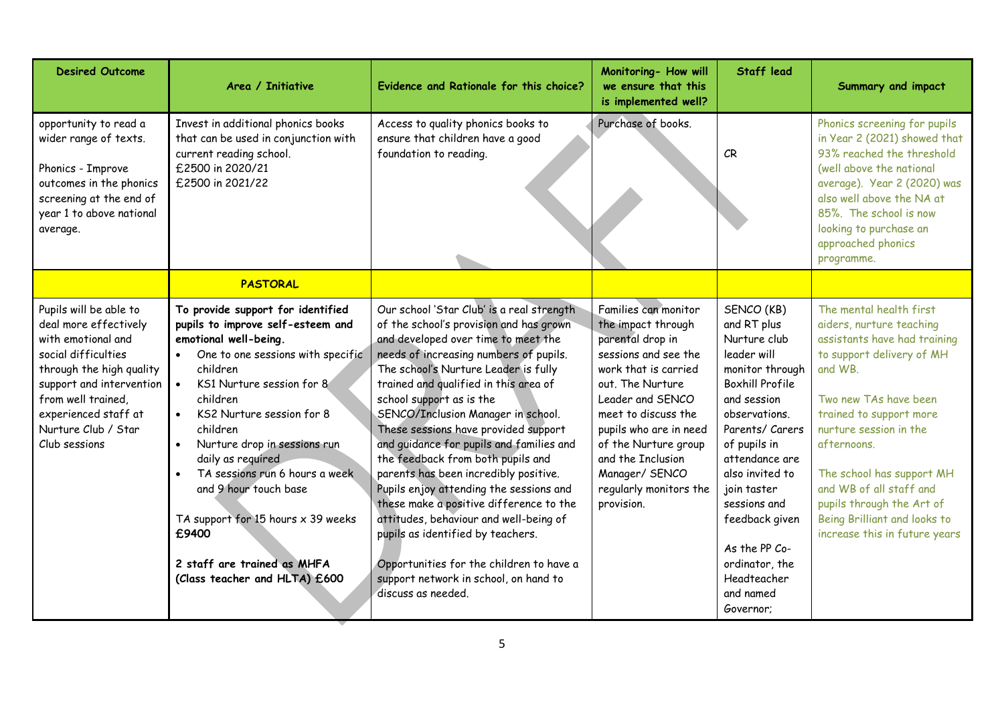| <b>Desired Outcome</b>                                                                                                                                                                                                                     | Area / Initiative                                                                                                                                                                                                                                                                                                                                                                                                                                                                     | Evidence and Rationale for this choice?                                                                                                                                                                                                                                                                                                                                                                                                                                                                                                                                                                                                                                                                                                                                    | Monitoring- How will<br>we ensure that this<br>is implemented well?                                                                                                                                                                                                                                            | Staff lead                                                                                                                                                                                                                                                                                                                                 | Summary and impact                                                                                                                                                                                                                                                                                                                                                             |
|--------------------------------------------------------------------------------------------------------------------------------------------------------------------------------------------------------------------------------------------|---------------------------------------------------------------------------------------------------------------------------------------------------------------------------------------------------------------------------------------------------------------------------------------------------------------------------------------------------------------------------------------------------------------------------------------------------------------------------------------|----------------------------------------------------------------------------------------------------------------------------------------------------------------------------------------------------------------------------------------------------------------------------------------------------------------------------------------------------------------------------------------------------------------------------------------------------------------------------------------------------------------------------------------------------------------------------------------------------------------------------------------------------------------------------------------------------------------------------------------------------------------------------|----------------------------------------------------------------------------------------------------------------------------------------------------------------------------------------------------------------------------------------------------------------------------------------------------------------|--------------------------------------------------------------------------------------------------------------------------------------------------------------------------------------------------------------------------------------------------------------------------------------------------------------------------------------------|--------------------------------------------------------------------------------------------------------------------------------------------------------------------------------------------------------------------------------------------------------------------------------------------------------------------------------------------------------------------------------|
| opportunity to read a<br>wider range of texts.<br>Phonics - Improve<br>outcomes in the phonics<br>screening at the end of<br>year 1 to above national<br>average.                                                                          | Invest in additional phonics books<br>that can be used in conjunction with<br>current reading school.<br>£2500 in 2020/21<br>£2500 in 2021/22                                                                                                                                                                                                                                                                                                                                         | Access to quality phonics books to<br>ensure that children have a good<br>foundation to reading.                                                                                                                                                                                                                                                                                                                                                                                                                                                                                                                                                                                                                                                                           | Purchase of books.                                                                                                                                                                                                                                                                                             | CR                                                                                                                                                                                                                                                                                                                                         | Phonics screening for pupils<br>in Year 2 (2021) showed that<br>93% reached the threshold<br>(well above the national<br>average). Year 2 (2020) was<br>also well above the NA at<br>85%. The school is now<br>looking to purchase an<br>approached phonics<br>programme.                                                                                                      |
|                                                                                                                                                                                                                                            | <b>PASTORAL</b>                                                                                                                                                                                                                                                                                                                                                                                                                                                                       |                                                                                                                                                                                                                                                                                                                                                                                                                                                                                                                                                                                                                                                                                                                                                                            |                                                                                                                                                                                                                                                                                                                |                                                                                                                                                                                                                                                                                                                                            |                                                                                                                                                                                                                                                                                                                                                                                |
| Pupils will be able to<br>deal more effectively<br>with emotional and<br>social difficulties<br>through the high quality<br>support and intervention<br>from well trained,<br>experienced staff at<br>Nurture Club / Star<br>Club sessions | To provide support for identified<br>pupils to improve self-esteem and<br>emotional well-being.<br>One to one sessions with specific<br>children<br>KS1 Nurture session for 8<br>$\bullet$<br>children<br>KS2 Nurture session for 8<br>children<br>Nurture drop in sessions run<br>daily as required<br>TA sessions run 6 hours a week<br>and 9 hour touch base<br>TA support for 15 hours $\times$ 39 weeks<br>£9400<br>2 staff are trained as MHFA<br>(Class teacher and HLTA) £600 | Our school 'Star Club' is a real strength<br>of the school's provision and has grown<br>and developed over time to meet the<br>needs of increasing numbers of pupils.<br>The school's Nurture Leader is fully<br>trained and qualified in this area of<br>school support as is the<br>SENCO/Inclusion Manager in school.<br>These sessions have provided support<br>and guidance for pupils and families and<br>the feedback from both pupils and<br>parents has been incredibly positive.<br>Pupils enjoy attending the sessions and<br>these make a positive difference to the<br>attitudes, behaviour and well-being of<br>pupils as identified by teachers.<br>Opportunities for the children to have a<br>support network in school, on hand to<br>discuss as needed. | Families can monitor<br>the impact through<br>parental drop in<br>sessions and see the<br>work that is carried<br>out. The Nurture<br>Leader and SENCO<br>meet to discuss the<br>pupils who are in need<br>of the Nurture group<br>and the Inclusion<br>Manager/ SENCO<br>regularly monitors the<br>provision. | SENCO (KB)<br>and RT plus<br>Nurture club<br>leader will<br>monitor through<br><b>Boxhill Profile</b><br>and session<br>observations.<br>Parents/ Carers<br>of pupils in<br>attendance are<br>also invited to<br>join taster<br>sessions and<br>feedback given<br>As the PP Co-<br>ordinator, the<br>Headteacher<br>and named<br>Governor: | The mental health first<br>aiders, nurture teaching<br>assistants have had training<br>to support delivery of MH<br>and WB.<br>Two new TAs have been<br>trained to support more<br>nurture session in the<br>afternoons.<br>The school has support MH<br>and WB of all staff and<br>pupils through the Art of<br>Being Brilliant and looks to<br>increase this in future years |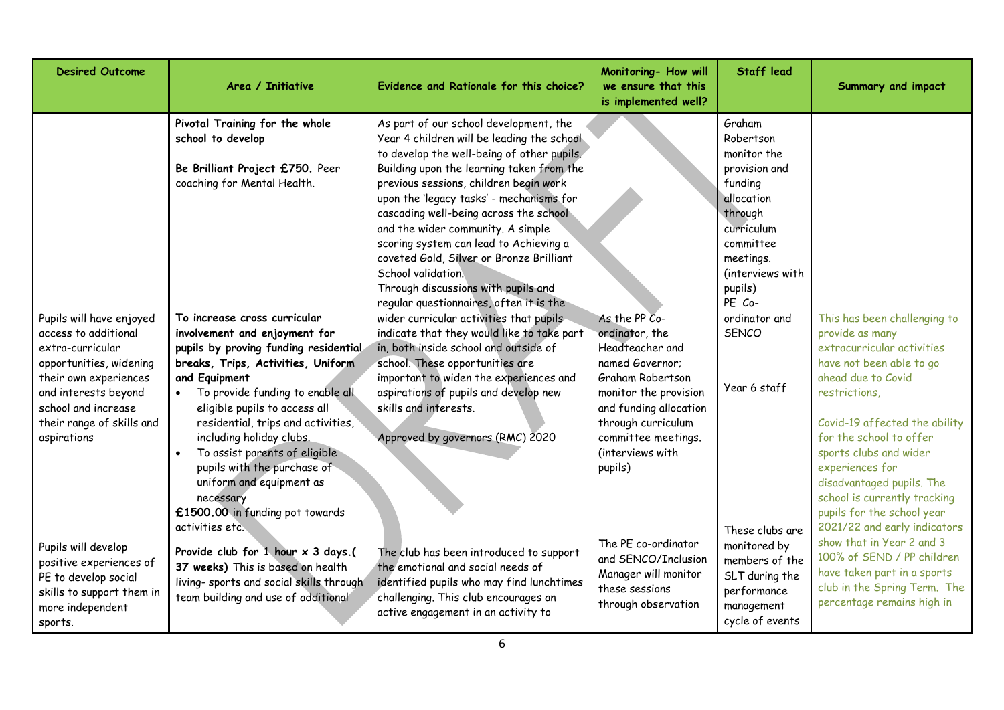| <b>Desired Outcome</b>                                                                                                                                                                                              | Area / Initiative                                                                                                                                                                                                                                                                                                                                                                                                                                                   | Evidence and Rationale for this choice?                                                                                                                                                                                                                                                                                                                                                                                                                                                                 | Monitoring- How will<br>we ensure that this<br>is implemented well?                                                                                                                                                      | <b>Staff lead</b>                                                                                                                                              | Summary and impact                                                                                                                                                                                                                                                                                                                                                                   |
|---------------------------------------------------------------------------------------------------------------------------------------------------------------------------------------------------------------------|---------------------------------------------------------------------------------------------------------------------------------------------------------------------------------------------------------------------------------------------------------------------------------------------------------------------------------------------------------------------------------------------------------------------------------------------------------------------|---------------------------------------------------------------------------------------------------------------------------------------------------------------------------------------------------------------------------------------------------------------------------------------------------------------------------------------------------------------------------------------------------------------------------------------------------------------------------------------------------------|--------------------------------------------------------------------------------------------------------------------------------------------------------------------------------------------------------------------------|----------------------------------------------------------------------------------------------------------------------------------------------------------------|--------------------------------------------------------------------------------------------------------------------------------------------------------------------------------------------------------------------------------------------------------------------------------------------------------------------------------------------------------------------------------------|
|                                                                                                                                                                                                                     | Pivotal Training for the whole<br>school to develop<br>Be Brilliant Project £750. Peer<br>coaching for Mental Health.                                                                                                                                                                                                                                                                                                                                               | As part of our school development, the<br>Year 4 children will be leading the school<br>to develop the well-being of other pupils.<br>Building upon the learning taken from the<br>previous sessions, children begin work<br>upon the 'legacy tasks' - mechanisms for<br>cascading well-being across the school<br>and the wider community. A simple<br>scoring system can lead to Achieving a<br>coveted Gold, Silver or Bronze Brilliant<br>School validation.<br>Through discussions with pupils and |                                                                                                                                                                                                                          | Graham<br>Robertson<br>monitor the<br>provision and<br>funding<br>allocation<br>through<br>curriculum<br>committee<br>meetings.<br>(interviews with<br>pupils) |                                                                                                                                                                                                                                                                                                                                                                                      |
| Pupils will have enjoyed<br>access to additional<br>extra-curricular<br>opportunities, widening<br>their own experiences<br>and interests beyond<br>school and increase<br>their range of skills and<br>aspirations | To increase cross curricular<br>involvement and enjoyment for<br>pupils by proving funding residential<br>breaks, Trips, Activities, Uniform<br>and Equipment<br>To provide funding to enable all<br>eligible pupils to access all<br>residential, trips and activities,<br>including holiday clubs.<br>To assist parents of eligible<br>pupils with the purchase of<br>uniform and equipment as<br>necessary<br>£1500.00 in funding pot towards<br>activities etc. | regular questionnaires, often it is the<br>wider curricular activities that pupils<br>indicate that they would like to take part<br>in, both inside school and outside of<br>school. These opportunities are<br>important to widen the experiences and<br>aspirations of pupils and develop new<br>skills and interests.<br>Approved by governors (RMC) 2020                                                                                                                                            | As the PP Co-<br>ordinator, the<br>Headteacher and<br>named Governor;<br>Graham Robertson<br>monitor the provision<br>and funding allocation<br>through curriculum<br>committee meetings.<br>(interviews with<br>pupils) | PE Co-<br>ordinator and<br>SENCO<br>Year 6 staff<br>These clubs are                                                                                            | This has been challenging to<br>provide as many<br>extracurricular activities<br>have not been able to go<br>ahead due to Covid<br>restrictions,<br>Covid-19 affected the ability<br>for the school to offer<br>sports clubs and wider<br>experiences for<br>disadvantaged pupils. The<br>school is currently tracking<br>pupils for the school year<br>2021/22 and early indicators |
| Pupils will develop<br>positive experiences of<br>PE to develop social<br>skills to support them in<br>more independent<br>sports.                                                                                  | Provide club for $1$ hour $\times$ 3 days.(<br>37 weeks) This is based on health<br>living- sports and social skills through<br>team building and use of additional                                                                                                                                                                                                                                                                                                 | The club has been introduced to support<br>the emotional and social needs of<br>identified pupils who may find lunchtimes<br>challenging. This club encourages an<br>active engagement in an activity to                                                                                                                                                                                                                                                                                                | The PE co-ordinator<br>and SENCO/Inclusion<br>Manager will monitor<br>these sessions<br>through observation                                                                                                              | monitored by<br>members of the<br>SLT during the<br>performance<br>management<br>cycle of events                                                               | show that in Year 2 and 3<br>100% of SEND / PP children<br>have taken part in a sports<br>club in the Spring Term. The<br>percentage remains high in                                                                                                                                                                                                                                 |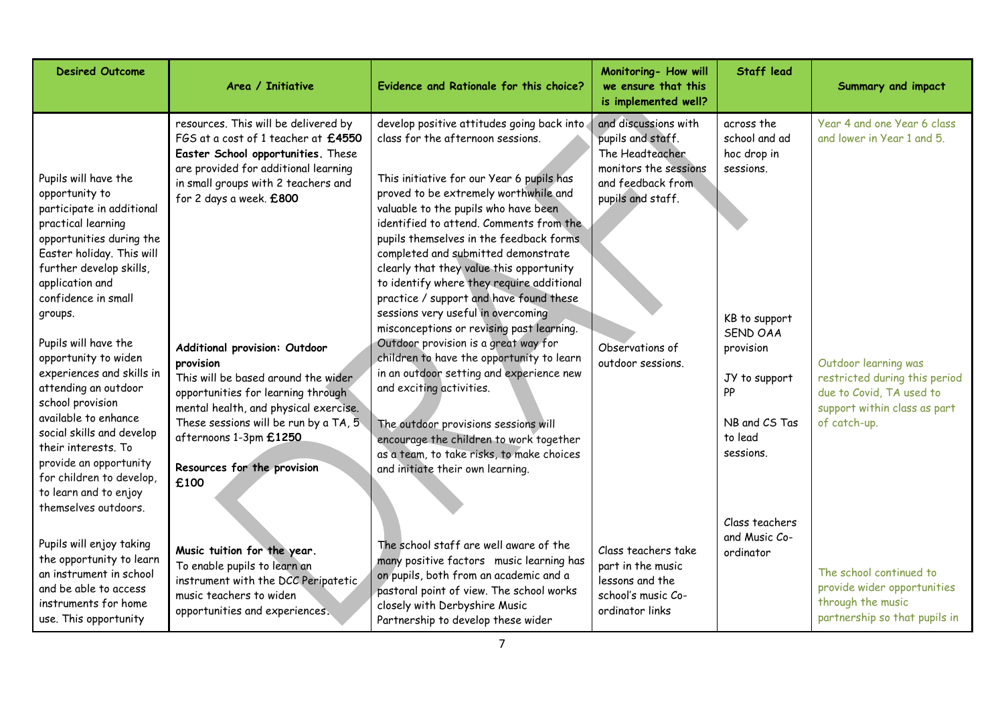| <b>Desired Outcome</b>                                                                                                                                                                                                                                                                                                                                                                                                                                                                                                                         | Area / Initiative                                                                                                                                                                                                                                                                                                                                                                                                                                                                                         | Evidence and Rationale for this choice?                                                                                                                                                                                                                                                                                                                                                                                                                                                                                                                                                                                                                                                                                                                                                                                                                                                            | Monitoring- How will<br>we ensure that this<br>is implemented well?                                                                                                     | <b>Staff lead</b>                                                                                                                                                        | Summary and impact                                                                                                                                                                             |
|------------------------------------------------------------------------------------------------------------------------------------------------------------------------------------------------------------------------------------------------------------------------------------------------------------------------------------------------------------------------------------------------------------------------------------------------------------------------------------------------------------------------------------------------|-----------------------------------------------------------------------------------------------------------------------------------------------------------------------------------------------------------------------------------------------------------------------------------------------------------------------------------------------------------------------------------------------------------------------------------------------------------------------------------------------------------|----------------------------------------------------------------------------------------------------------------------------------------------------------------------------------------------------------------------------------------------------------------------------------------------------------------------------------------------------------------------------------------------------------------------------------------------------------------------------------------------------------------------------------------------------------------------------------------------------------------------------------------------------------------------------------------------------------------------------------------------------------------------------------------------------------------------------------------------------------------------------------------------------|-------------------------------------------------------------------------------------------------------------------------------------------------------------------------|--------------------------------------------------------------------------------------------------------------------------------------------------------------------------|------------------------------------------------------------------------------------------------------------------------------------------------------------------------------------------------|
| Pupils will have the<br>opportunity to<br>participate in additional<br>practical learning<br>opportunities during the<br>Easter holiday. This will<br>further develop skills,<br>application and<br>confidence in small<br>groups.<br>Pupils will have the<br>opportunity to widen<br>experiences and skills in<br>attending an outdoor<br>school provision<br>available to enhance<br>social skills and develop<br>their interests. To<br>provide an opportunity<br>for children to develop,<br>to learn and to enjoy<br>themselves outdoors. | resources. This will be delivered by<br>FGS at a cost of 1 teacher at £4550<br>Easter School opportunities. These<br>are provided for additional learning<br>in small groups with 2 teachers and<br>for 2 days a week. £800<br>Additional provision: Outdoor<br>provision<br>This will be based around the wider<br>opportunities for learning through<br>mental health, and physical exercise.<br>These sessions will be run by a TA, 5<br>afternoons 1-3pm £1250<br>Resources for the provision<br>£100 | develop positive attitudes going back into<br>class for the afternoon sessions.<br>This initiative for our Year 6 pupils has<br>proved to be extremely worthwhile and<br>valuable to the pupils who have been<br>identified to attend. Comments from the<br>pupils themselves in the feedback forms<br>completed and submitted demonstrate<br>clearly that they value this opportunity<br>to identify where they require additional<br>practice / support and have found these<br>sessions very useful in overcoming<br>misconceptions or revising past learning.<br>Outdoor provision is a great way for<br>children to have the opportunity to learn<br>in an outdoor setting and experience new<br>and exciting activities.<br>The outdoor provisions sessions will<br>encourage the children to work together<br>as a team, to take risks, to make choices<br>and initiate their own learning. | and discussions with<br>pupils and staff.<br>The Headteacher<br>monitors the sessions<br>and feedback from<br>pupils and staff.<br>Observations of<br>outdoor sessions. | across the<br>school and ad<br>hoc drop in<br>sessions.<br>KB to support<br><b>SEND OAA</b><br>provision<br>JY to support<br>PP<br>NB and CS Tas<br>to lead<br>sessions. | Year 4 and one Year 6 class<br>and lower in Year 1 and 5.<br>Outdoor learning was<br>restricted during this period<br>due to Covid, TA used to<br>support within class as part<br>of catch-up. |
| Pupils will enjoy taking<br>the opportunity to learn<br>an instrument in school<br>and be able to access<br>instruments for home<br>use. This opportunity                                                                                                                                                                                                                                                                                                                                                                                      | Music tuition for the year.<br>To enable pupils to learn an<br>instrument with the DCC Peripatetic<br>music teachers to widen<br>opportunities and experiences.                                                                                                                                                                                                                                                                                                                                           | The school staff are well aware of the<br>many positive factors music learning has<br>on pupils, both from an academic and a<br>pastoral point of view. The school works<br>closely with Derbyshire Music<br>Partnership to develop these wider                                                                                                                                                                                                                                                                                                                                                                                                                                                                                                                                                                                                                                                    | Class teachers take<br>part in the music<br>lessons and the<br>school's music Co-<br>ordinator links                                                                    | Class teachers<br>and Music Co-<br>ordinator                                                                                                                             | The school continued to<br>provide wider opportunities<br>through the music<br>partnership so that pupils in                                                                                   |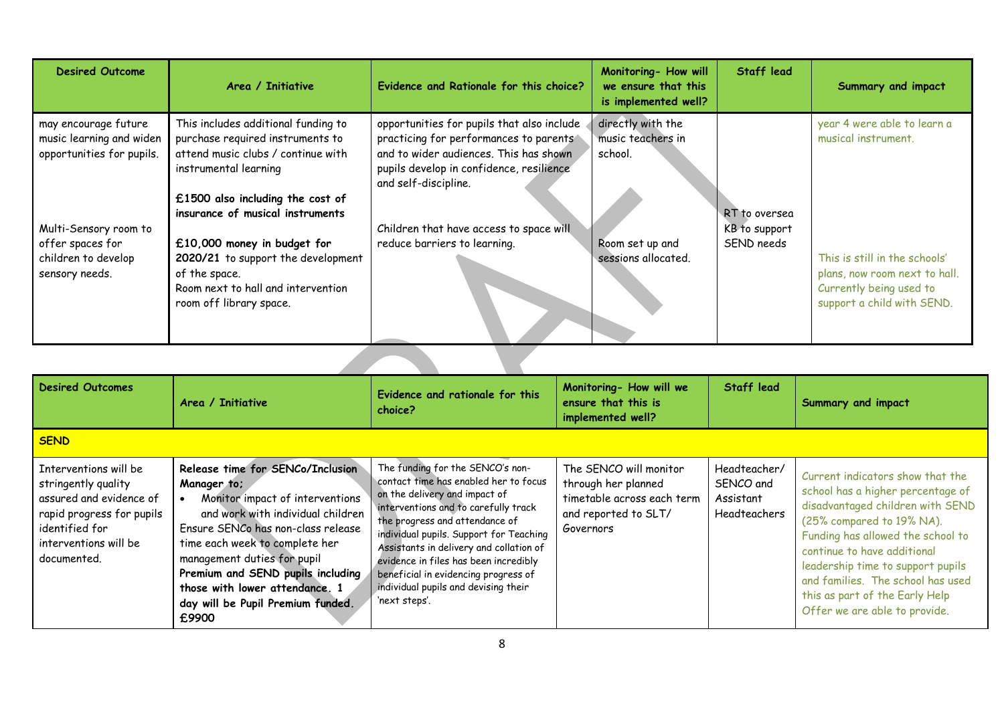| directly with the<br>opportunities for pupils that also include<br>This includes additional funding to<br>may encourage future<br>practicing for performances to parents<br>music learning and widen<br>purchase required instruments to<br>musical instrument.<br>music teachers in<br>and to wider audiences. This has shown<br>opportunities for pupils.<br>attend music clubs / continue with<br>school.<br>pupils develop in confidence, resilience<br>instrumental learning | year 4 were able to learn a                                                                                             |
|-----------------------------------------------------------------------------------------------------------------------------------------------------------------------------------------------------------------------------------------------------------------------------------------------------------------------------------------------------------------------------------------------------------------------------------------------------------------------------------|-------------------------------------------------------------------------------------------------------------------------|
| and self-discipline.<br>£1500 also including the cost of                                                                                                                                                                                                                                                                                                                                                                                                                          |                                                                                                                         |
| insurance of musical instruments<br>RT to oversea<br>Children that have access to space will<br>Multi-Sensory room to<br>KB to support<br>£10,000 money in budget for<br>reduce barriers to learning.<br>SEND needs<br>offer spaces for<br>Room set up and<br>children to develop<br>2020/21 to support the development<br>sessions allocated.<br>sensory needs.<br>of the space.<br>Room next to hall and intervention<br>room off library space.                                | This is still in the schools'<br>plans, now room next to hall.<br>Currently being used to<br>support a child with SEND. |

| <b>Desired Outcomes</b>                                                                                                                                        | Area / Initiative                                                                                                                                                                                                                                                                                                                                   | Evidence and rationale for this<br>choice?                                                                                                                                                                                                                                                                                                                                                                           | Monitoring- How will we<br>ensure that this is<br>implemented well?                                              | Staff lead                                                    | Summary and impact                                                                                                                                                                                                                                                                                                                                      |
|----------------------------------------------------------------------------------------------------------------------------------------------------------------|-----------------------------------------------------------------------------------------------------------------------------------------------------------------------------------------------------------------------------------------------------------------------------------------------------------------------------------------------------|----------------------------------------------------------------------------------------------------------------------------------------------------------------------------------------------------------------------------------------------------------------------------------------------------------------------------------------------------------------------------------------------------------------------|------------------------------------------------------------------------------------------------------------------|---------------------------------------------------------------|---------------------------------------------------------------------------------------------------------------------------------------------------------------------------------------------------------------------------------------------------------------------------------------------------------------------------------------------------------|
| <b>SEND</b>                                                                                                                                                    |                                                                                                                                                                                                                                                                                                                                                     |                                                                                                                                                                                                                                                                                                                                                                                                                      |                                                                                                                  |                                                               |                                                                                                                                                                                                                                                                                                                                                         |
| Interventions will be<br>stringently quality<br>assured and evidence of<br>rapid progress for pupils<br>identified for<br>interventions will be<br>documented. | Release time for SENCo/Inclusion<br>Manager to;<br>Monitor impact of interventions<br>and work with individual children<br>Ensure SENCo has non-class release<br>time each week to complete her<br>management duties for pupil<br>Premium and SEND pupils including<br>those with lower attendance. 1<br>day will be Pupil Premium Funded.<br>£9900 | The funding for the SENCO's non-<br>contact time has enabled her to focus<br>on the delivery and impact of<br>interventions and to carefully track<br>the progress and attendance of<br>individual pupils. Support for Teaching<br>Assistants in delivery and collation of<br>evidence in files has been incredibly<br>beneficial in evidencing progress of<br>individual pupils and devising their<br>'next steps'. | The SENCO will monitor<br>through her planned<br>timetable across each term<br>and reported to SLT/<br>Governors | Headteacher/<br>SENCO and<br>Assistant<br><b>Headteachers</b> | Current indicators show that the<br>school has a higher percentage of<br>disadvantaged children with SEND<br>(25% compared to 19% NA).<br>Funding has allowed the school to<br>continue to have additional<br>leadership time to support pupils<br>and families. The school has used<br>this as part of the Early Help<br>Offer we are able to provide. |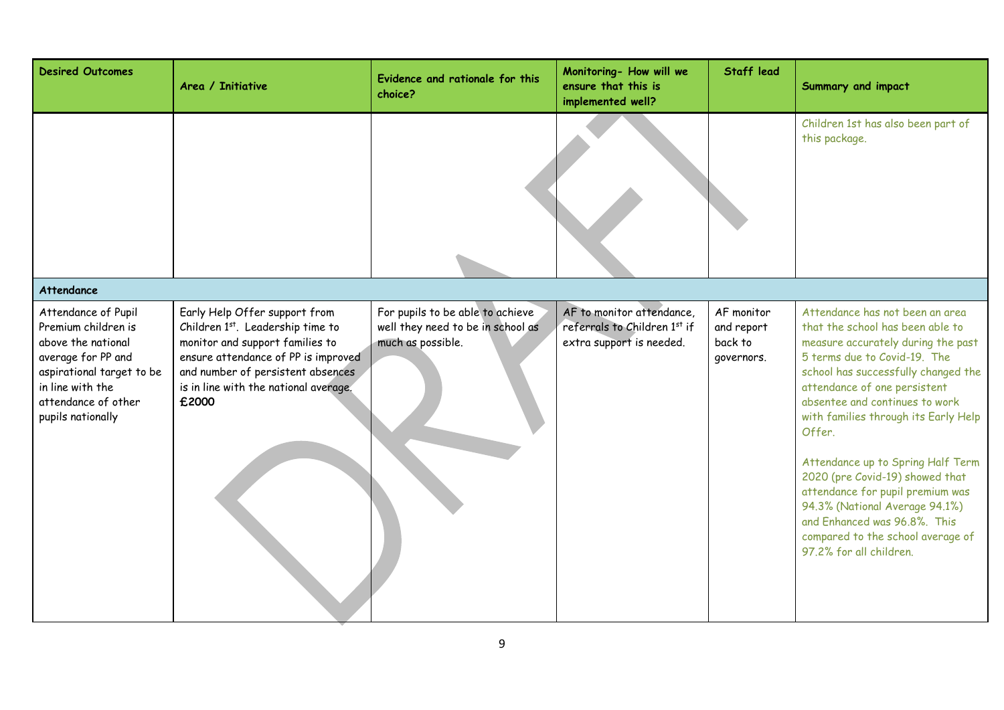| <b>Desired Outcomes</b>                                                                                                                                      | Area / Initiative                                                                                                                                                                                 | Evidence and rationale for this<br>choice?             | Monitoring- How will we<br>ensure that this is<br>implemented well? | <b>Staff lead</b>                   | Summary and impact                                                                                                                                                                                                                                                                                                                                                                                                                                                                                              |
|--------------------------------------------------------------------------------------------------------------------------------------------------------------|---------------------------------------------------------------------------------------------------------------------------------------------------------------------------------------------------|--------------------------------------------------------|---------------------------------------------------------------------|-------------------------------------|-----------------------------------------------------------------------------------------------------------------------------------------------------------------------------------------------------------------------------------------------------------------------------------------------------------------------------------------------------------------------------------------------------------------------------------------------------------------------------------------------------------------|
| <b>Attendance</b>                                                                                                                                            |                                                                                                                                                                                                   |                                                        |                                                                     |                                     | Children 1st has also been part of<br>this package.                                                                                                                                                                                                                                                                                                                                                                                                                                                             |
| Attendance of Pupil                                                                                                                                          | Early Help Offer support from                                                                                                                                                                     | For pupils to be able to achieve                       | AF to monitor attendance,                                           | AF monitor                          | Attendance has not been an area                                                                                                                                                                                                                                                                                                                                                                                                                                                                                 |
| Premium children is<br>above the national<br>average for PP and<br>aspirational target to be<br>in line with the<br>attendance of other<br>pupils nationally | Children 1st. Leadership time to<br>monitor and support families to<br>ensure attendance of PP is improved<br>and number of persistent absences<br>is in line with the national average.<br>£2000 | well they need to be in school as<br>much as possible. | referrals to Children 1st if<br>extra support is needed.            | and report<br>back to<br>governors. | that the school has been able to<br>measure accurately during the past<br>5 terms due to Covid-19. The<br>school has successfully changed the<br>attendance of one persistent<br>absentee and continues to work<br>with families through its Early Help<br>Offer.<br>Attendance up to Spring Half Term<br>2020 (pre Covid-19) showed that<br>attendance for pupil premium was<br>94.3% (National Average 94.1%)<br>and Enhanced was 96.8%. This<br>compared to the school average of<br>97.2% for all children. |